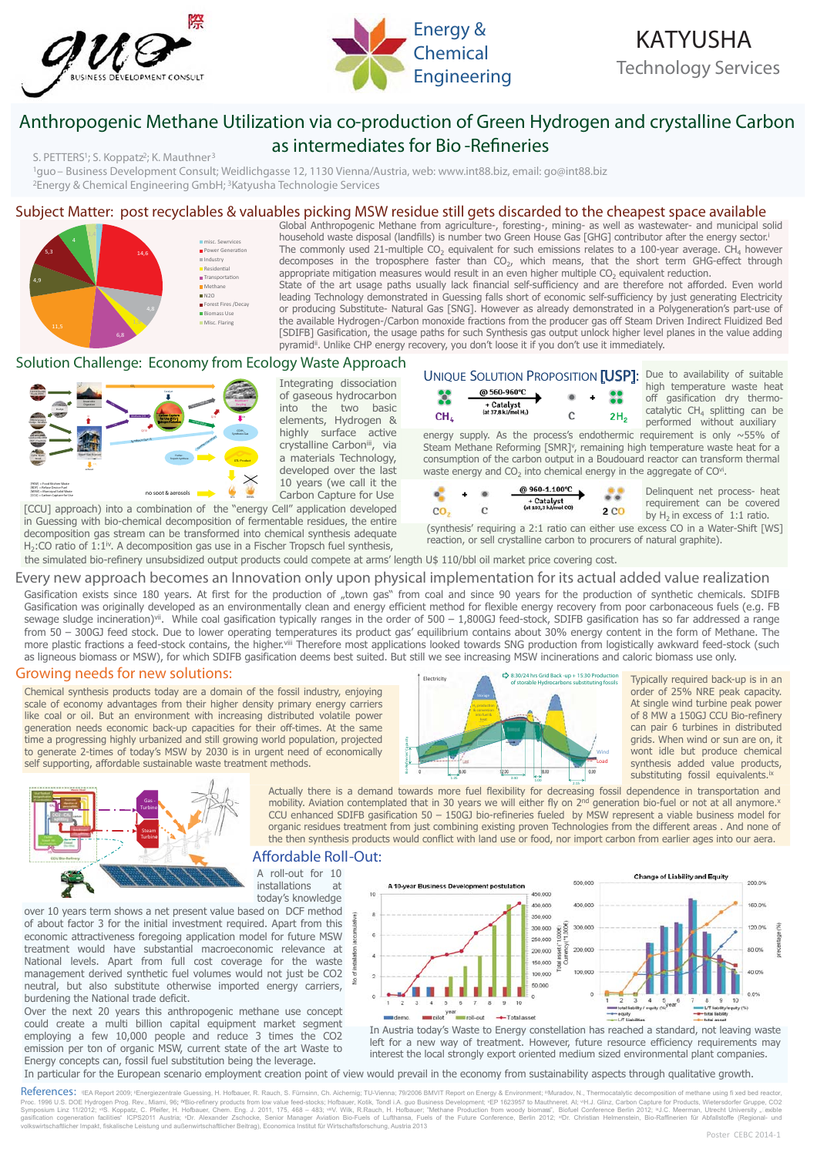



# **Anthropogenic Methane Utilization via co-production of Green Hydrogen and crystalline Carbon as intermediates for Bio -Refineries**

*S. PETTERS1; S. Koppatz2; K. Mauthner3*

<sup>1</sup>guo – Business Development Consult; Weidlichgasse 12, 1130 Vienna/Austria, web: www.int88.biz, email: go@int88.biz<br><sup>2</sup>Energy & Chemical Engineering GmbH; <sup>3</sup>Katyusha Technologie Services

## **Subject Matter: post recyclables & valuables picking MSW residue still gets discarded to the cheapest space available**

 $0,9$ 14,6 6,8 4,9 5,3  $4^{1,4}$ misc. Sewrvices<br>Power Generati Industry Residential Transportation<br>Methane  $N2O$ Forest Fires / Decay **Biomass Use** Misc. Flaring

Global Anthropogenic Methane from agriculture-, foresting-, mining- as well as wastewater- and municipal solid household waste disposal (landfills) is number two Green House Gas [GHG] contributor after the energy sector.i The commonly used 21-multiple  $CO<sub>2</sub>$  equivalent for such emissions relates to a 100-year average.  $CH<sub>4</sub>$  however decomposes in the troposphere faster than CO<sub>2</sub>, which means, that the short term GHG-effect through appropriate mitigation measures would result in an even higher multiple  $CO<sub>2</sub>$  equivalent reduction. State of the art usage paths usually lack financial self-sufficiency and are therefore not afforded. Even world leading Technology demonstrated in Guessing falls short of economic self-sufficiency by just generating Electricity or producing Substitute- Natural Gas [SNG]. However as already demonstrated in a Polygeneration's part-use of the available Hydrogen-/Carbon monoxide fractions from the producer gas off Steam Driven Indirect Fluidized Bed [SDIFB] Gasification, the usage paths for such Synthesis gas output unlock higher level planes in the value adding pyramid<sup>ii</sup>. Unlike CHP energy recovery, you don't loose it if you don't use it immediately.

## **Solution Challenge: Economy from Ecology Waste Approach**

on



Integrating dissociation of gaseous hydrocarbon into the two basic elements, Hydrogen & highly surface active crystalline Carbon<sup>iii</sup>, via a materials Technology, developed over the last 10 years (we call it the Carbon Capture for Use

[CCU] approach) into a combination of the "energy Cell" application developed in Guessing with bio-chemical decomposition of fermentable residues, the entire decomposition gas stream can be transformed into chemical synthesis adequate H<sub>2</sub>:CO ratio of  $1:1^{\omega}$ . A decomposition gas use in a Fischer Tropsch fuel synthesis,

# UNIQUE SOLUTION PROPOSITION [USP]: Due to availability of suitable



high temperature waste heat off gasification dry thermocatalytic  $CH_4$  splitting can be performed without auxiliary

energy supply. As the process's endothermic requirement is only  $\sim$  55% of Steam Methane Reforming [SMR]<sup>v</sup>, remaining high temperature waste heat for a consumption of the carbon output in a Boudouard reactor can transform thermal waste energy and  $CO<sub>2</sub>$  into chemical energy in the aggregate of CO<sup>vi</sup>.



Delinquent net process- heat requirement can be covered by  $H_2$  in excess of 1:1 ratio.

(synthesis' requiring a 2:1 ratio can either use excess CO in a Water-Shift [WS] reaction, or sell crystalline carbon to procurers of natural graphite).

the simulated bio-refinery unsubsidized output products could compete at arms' length U\$ 110/bbl oil market price covering cost.

### **Every new approach becomes an Innovation only upon physical implementation for its actual added value realization**

Gasification exists since 180 years. At first for the production of "town gas" from coal and since 90 years for the production of synthetic chemicals. SDIFB Gasification was originally developed as an environmentally clean and energy efficient method for flexible energy recovery from poor carbonaceous fuels (e.g. FB sewage sludge incineration)<sup>vii</sup>. While coal gasification typically ranges in the order of 500 - 1,800GJ feed-stock, SDIFB gasification has so far addressed a range from 50 – 300GJ feed stock. Due to lower operating temperatures its product gas' equilibrium contains about 30% energy content in the form of Methane. The more plastic fractions a feed-stock contains, the higher.viii Therefore most applications looked towards SNG production from logistically awkward feed-stock (such as ligneous biomass or MSW), for which SDIFB gasification deems best suited. But still we see increasing MSW incinerations and caloric biomass use only.

## **Growing needs for new solutions:**

Chemical synthesis products today are a domain of the fossil industry, enjoying scale of economy advantages from their higher density primary energy carriers like coal or oil. But an environment with increasing distributed volatile power generation needs economic back-up capacities for their off-times. At the same time a progressing highly urbanized and still growing world population, projected to generate 2-times of today's MSW by 2030 is in urgent need of economically self supporting, affordable sustainable waste treatment methods.



**of storable Hydrocarbons substituting fossils** Typically required back-up is in an order of 25% NRE peak capacity. At single wind turbine peak power of 8 MW a 150GJ CCU Bio-refinery can pair 6 turbines in distributed grids. When wind or sun are on, it wont idle but produce chemical synthesis added value products, substituting fossil equivalents.<sup>ix</sup>



2:15 1:00 1:35 3:40 Actually there is a demand towards more fuel flexibility for decreasing fossil dependence in transportation and mobility. Aviation contemplated that in 30 years we will either fly on 2<sup>nd</sup> generation bio-fuel or not at all anymore.x CCU enhanced SDIFB gasification 50 – 150GJ bio-refineries fueled by MSW represent a viable business model for organic residues treatment from just combining existing proven Technologies from the different areas . And none of the then synthesis products would conflict with land use or food, nor import carbon from earlier ages into our aera.

## **- Affordable Roll Out:**

A roll-out for 10 installations at today's knowledge

over 10 years term shows a net present value based on DCF method of about factor 3 for the initial investment required. Apart from this economic attractiveness foregoing application model for future MSW treatment would have substantial macroeconomic relevance at National levels. Apart from full cost coverage for the waste management derived synthetic fuel volumes would not just be CO2 neutral, but also substitute otherwise imported energy carriers, burdening the National trade deficit.

Over the next 20 years this anthropogenic methane use concept could create a multi billion capital equipment market segment employing a few 10,000 people and reduce 3 times the CO2 emission per ton of organic MSW, current state of the art Waste to Energy concepts can, fossil fuel substitution being the leverage.



In Austria today's Waste to Energy constellation has reached a standard, not leaving waste left for a new way of treatment. However, future resource efficiency requirements may interest the local strongly export oriented medium sized environmental plant companies.

#### In particular for the European scenario employment creation point of view would prevail in the economy from sustainability aspects through qualitative growth.

References: VEA Report 2009; <sup>N</sup>Energiezentrale Guessing, H. Hofbauer, R. Rauch, S. Fürnsinn, Ch. Aichernig; TU-Vienna; 79/2006 BMVIT Report on Energy & Environment; <sup>II</sup>Muradov, N., Thermocatalytic decomposition of methan Proc. 1996 U.S. DOE Hydrogen Prog. Rev., Miami, 96; <sup>w</sup>Bio-refinery products from low value feed-stocks; Hofbauer, Kotik, Tond i.A. guo Business Development; "EP 1623957 to Mauthneret. Al; "H.J. Glinz, Carbon Capture for P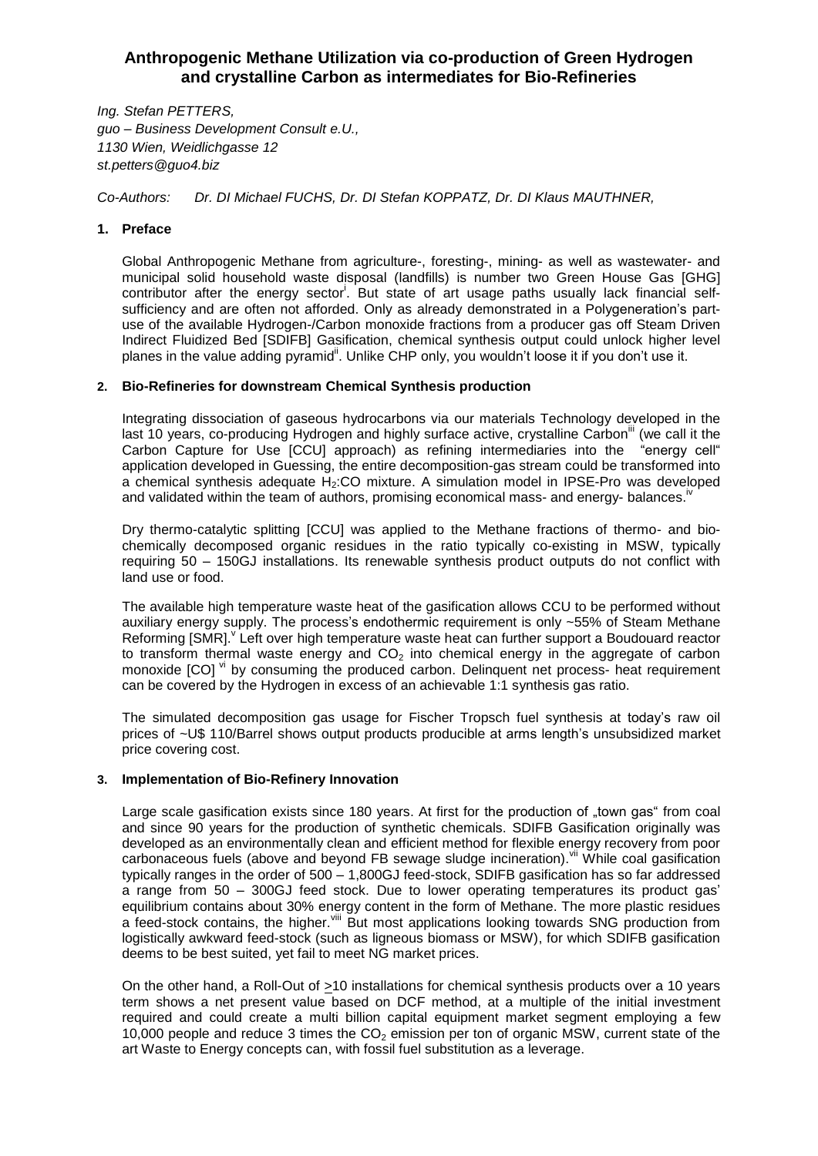## **Anthropogenic Methane Utilization via co-production of Green Hydrogen and crystalline Carbon as intermediates for Bio-Refineries**

*Ing. Stefan PETTERS, guo – Business Development Consult e.U., 1130 Wien, Weidlichgasse 12 st.petters@guo4.biz*

*Co-Authors: Dr. DI Michael FUCHS, Dr. DI Stefan KOPPATZ, Dr. DI Klaus MAUTHNER,* 

## **1. Preface**

Global Anthropogenic Methane from agriculture-, foresting-, mining- as well as wastewater- and municipal solid household waste disposal (landfills) is number two Green House Gas [GHG] contributor after the energy sector<sup>i</sup>. But state of art usage paths usually lack financial selfsufficiency and are often not afforded. Only as already demonstrated in a Polygeneration's partuse of the available Hydrogen-/Carbon monoxide fractions from a producer gas off Steam Driven Indirect Fluidized Bed [SDIFB] Gasification, chemical synthesis output could unlock higher level planes in the value adding pyramid". Unlike CHP only, you wouldn't loose it if you don't use it.

## **2. Bio-Refineries for downstream Chemical Synthesis production**

Integrating dissociation of gaseous hydrocarbons via our materials Technology developed in the last 10 years, co-producing Hydrogen and highly surface active, crystalline Carbon<sup>"</sup> (we call it the Carbon Capture for Use [CCU] approach) as refining intermediaries into the "energy cell" application developed in Guessing, the entire decomposition-gas stream could be transformed into a chemical synthesis adequate H<sub>2</sub>:CO mixture. A simulation model in IPSE-Pro was developed and validated within the team of authors, promising economical mass- and energy- balances.<sup>iv</sup>

Dry thermo-catalytic splitting [CCU] was applied to the Methane fractions of thermo- and biochemically decomposed organic residues in the ratio typically co-existing in MSW, typically requiring 50 – 150GJ installations. Its renewable synthesis product outputs do not conflict with land use or food.

The available high temperature waste heat of the gasification allows CCU to be performed without auxiliary energy supply. The process's endothermic requirement is only ~55% of Steam Methane Reforming [SMR]. Left over high temperature waste heat can further support a Boudouard reactor to transform thermal waste energy and  $CO<sub>2</sub>$  into chemical energy in the aggregate of carbon monoxide [CO] <sup>vi</sup> by consuming the produced carbon. Delinquent net process- heat requirement can be covered by the Hydrogen in excess of an achievable 1:1 synthesis gas ratio.

The simulated decomposition gas usage for Fischer Tropsch fuel synthesis at today's raw oil prices of ~U\$ 110/Barrel shows output products producible at arms length's unsubsidized market price covering cost.

## **3. Implementation of Bio-Refinery Innovation**

Large scale gasification exists since 180 years. At first for the production of "town gas" from coal and since 90 years for the production of synthetic chemicals. SDIFB Gasification originally was developed as an environmentally clean and efficient method for flexible energy recovery from poor carbonaceous fuels (above and beyond FB sewage sludge incineration). vii While coal gasification typically ranges in the order of 500 – 1,800GJ feed-stock, SDIFB gasification has so far addressed a range from 50 – 300GJ feed stock. Due to lower operating temperatures its product gas' equilibrium contains about 30% energy content in the form of Methane. The more plastic residues a feed-stock contains, the higher. Vill But most applications looking towards SNG production from logistically awkward feed-stock (such as ligneous biomass or MSW), for which SDIFB gasification deems to be best suited, yet fail to meet NG market prices.

On the other hand, a Roll-Out of >10 installations for chemical synthesis products over a 10 years term shows a net present value based on DCF method, at a multiple of the initial investment required and could create a multi billion capital equipment market segment employing a few 10,000 people and reduce 3 times the  $CO<sub>2</sub>$  emission per ton of organic MSW, current state of the art Waste to Energy concepts can, with fossil fuel substitution as a leverage.